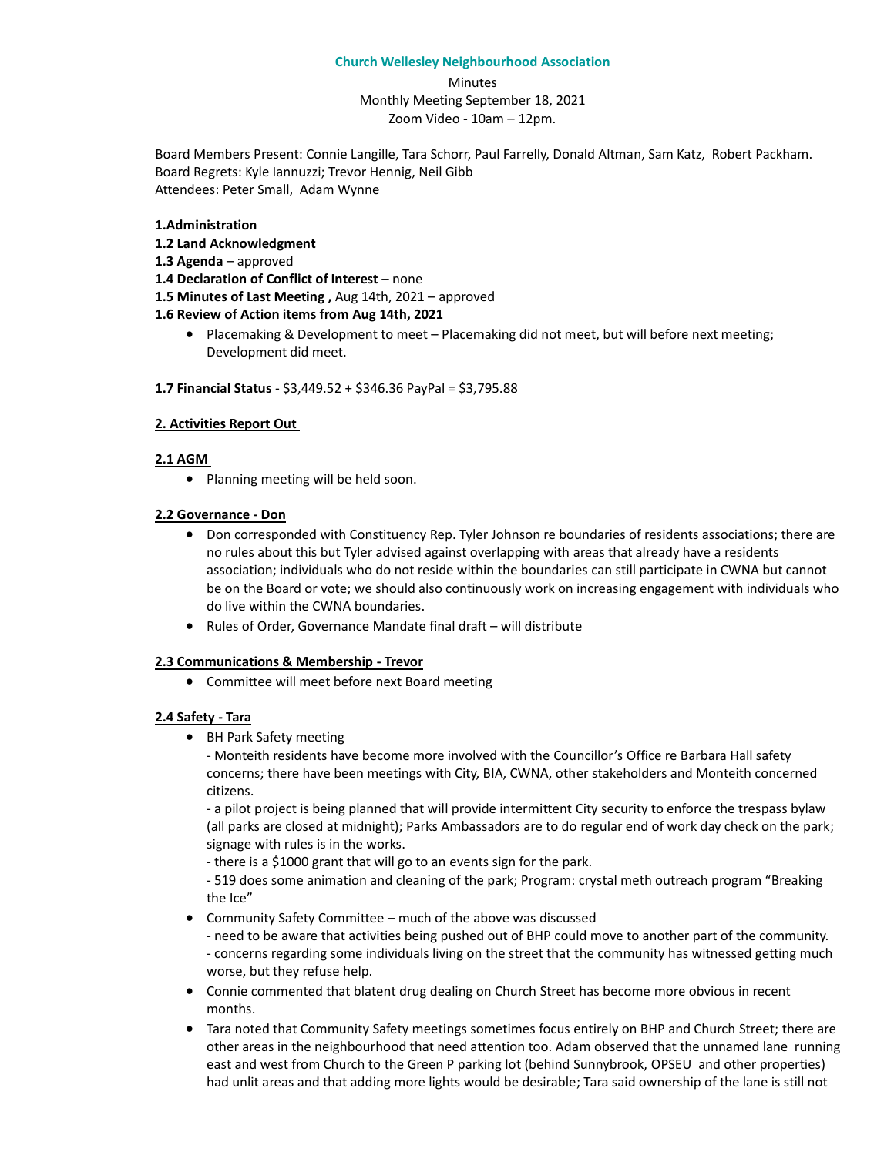#### **Church Wellesley Neighbourhood Association**

Minutes Monthly Meeting September 18, 2021 Zoom Video - 10am – 12pm.

Board Members Present: Connie Langille, Tara Schorr, Paul Farrelly, Donald Altman, Sam Katz, Robert Packham. Board Regrets: Kyle Iannuzzi; Trevor Hennig, Neil Gibb Attendees: Peter Small, Adam Wynne

## **1.Administration**

- **1.2 Land Acknowledgment**
- **1.3 Agenda** approved
- **1.4 Declaration of Conflict of Interest** none
- **1.5 Minutes of Last Meeting ,** Aug 14th, 2021 approved

## **1.6 Review of Action items from Aug 14th, 2021**

• Placemaking & Development to meet – Placemaking did not meet, but will before next meeting; Development did meet.

#### **1.7 Financial Status** - \$3,449.52 + \$346.36 PayPal = \$3,795.88

## **2. Activities Report Out**

## **2.1 AGM**

• Planning meeting will be held soon.

## **2.2 Governance - Don**

- Don corresponded with Constituency Rep. Tyler Johnson re boundaries of residents associations; there are no rules about this but Tyler advised against overlapping with areas that already have a residents association; individuals who do not reside within the boundaries can still participate in CWNA but cannot be on the Board or vote; we should also continuously work on increasing engagement with individuals who do live within the CWNA boundaries.
- Rules of Order, Governance Mandate final draft will distribute

## **2.3 Communications & Membership - Trevor**

• Committee will meet before next Board meeting

## **2.4 Safety - Tara**

• BH Park Safety meeting

- Monteith residents have become more involved with the Councillor's Office re Barbara Hall safety concerns; there have been meetings with City, BIA, CWNA, other stakeholders and Monteith concerned citizens.

- a pilot project is being planned that will provide intermittent City security to enforce the trespass bylaw (all parks are closed at midnight); Parks Ambassadors are to do regular end of work day check on the park; signage with rules is in the works.

- there is a \$1000 grant that will go to an events sign for the park.

- 519 does some animation and cleaning of the park; Program: crystal meth outreach program "Breaking the Ice"

• Community Safety Committee – much of the above was discussed

- need to be aware that activities being pushed out of BHP could move to another part of the community. - concerns regarding some individuals living on the street that the community has witnessed getting much worse, but they refuse help.

- Connie commented that blatent drug dealing on Church Street has become more obvious in recent months.
- Tara noted that Community Safety meetings sometimes focus entirely on BHP and Church Street; there are other areas in the neighbourhood that need attention too. Adam observed that the unnamed lane running east and west from Church to the Green P parking lot (behind Sunnybrook, OPSEU and other properties) had unlit areas and that adding more lights would be desirable; Tara said ownership of the lane is still not